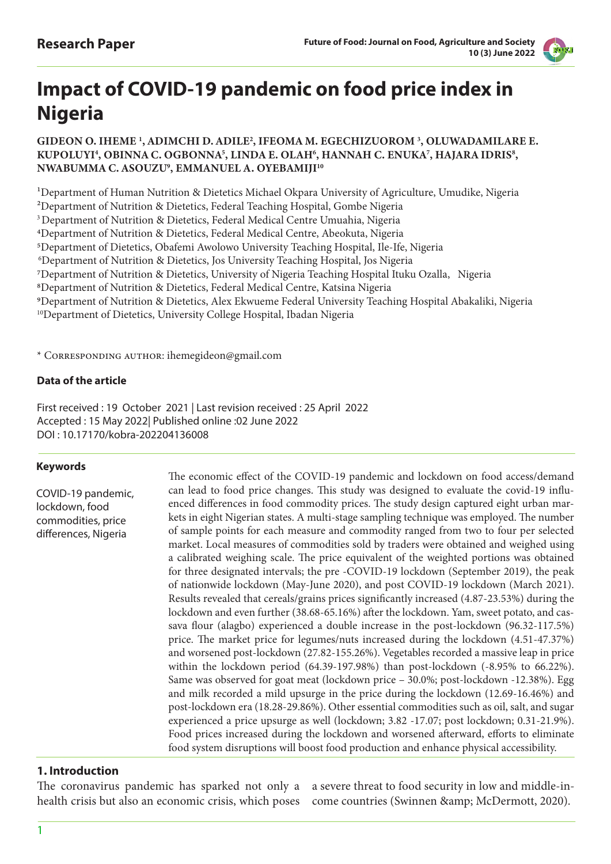

# **Impact of COVID-19 pandemic on food price index in Nigeria**

GIDEON O. IHEME<sup>1</sup>, ADIMCHI D. ADILE<sup>2</sup>, IFEOMA M. EGECHIZUOROM<sup>3</sup>, OLUWADAMILARE E. KUPOLUYI<sup>4</sup>, OBINNA C. OGBONNA<sup>5</sup>, LINDA E. OLAH<sup>6</sup>, HANNAH C. ENUKA<sup>7</sup>, HAJARA IDRIS<sup>8</sup>, NWABUMMA C. ASOUZU9 , EMMANUEL A. OYEBAMIJI10

1Department of Human Nutrition & Dietetics Michael Okpara University of Agriculture, Umudike, Nigeria

²Department of Nutrition & Dietetics, Federal Teaching Hospital, Gombe Nigeria

3 Department of Nutrition & Dietetics, Federal Medical Centre Umuahia, Nigeria

4Department of Nutrition & Dietetics, Federal Medical Centre, Abeokuta, Nigeria

5Department of Dietetics, Obafemi Awolowo University Teaching Hospital, Ile-Ife, Nigeria

6Department of Nutrition & Dietetics, Jos University Teaching Hospital, Jos Nigeria

7Department of Nutrition & Dietetics, University of Nigeria Teaching Hospital Ituku Ozalla, Nigeria

8Department of Nutrition & Dietetics, Federal Medical Centre, Katsina Nigeria

9Department of Nutrition & Dietetics, Alex Ekwueme Federal University Teaching Hospital Abakaliki, Nigeria

<sup>10</sup>Department of Dietetics, University College Hospital, Ibadan Nigeria

\* Corresponding author: ihemegideon@gmail.com

## **Data of the article**

First received : 19 October 2021 | Last revision received : 25 April 2022 Accepted : 15 May 2022| Published online :02 June 2022 DOI : 10.17170/kobra-202204136008

#### **Keywords**

COVID-19 pandemic, lockdown, food commodities, price differences, Nigeria

The economic effect of the COVID-19 pandemic and lockdown on food access/demand can lead to food price changes. This study was designed to evaluate the covid-19 influenced differences in food commodity prices. The study design captured eight urban markets in eight Nigerian states. A multi-stage sampling technique was employed. The number of sample points for each measure and commodity ranged from two to four per selected market. Local measures of commodities sold by traders were obtained and weighed using a calibrated weighing scale. The price equivalent of the weighted portions was obtained for three designated intervals; the pre -COVID-19 lockdown (September 2019), the peak of nationwide lockdown (May-June 2020), and post COVID-19 lockdown (March 2021). Results revealed that cereals/grains prices significantly increased (4.87-23.53%) during the lockdown and even further (38.68-65.16%) after the lockdown. Yam, sweet potato, and cassava flour (alagbo) experienced a double increase in the post-lockdown (96.32-117.5%) price. The market price for legumes/nuts increased during the lockdown (4.51-47.37%) and worsened post-lockdown (27.82-155.26%). Vegetables recorded a massive leap in price within the lockdown period (64.39-197.98%) than post-lockdown (-8.95% to 66.22%). Same was observed for goat meat (lockdown price – 30.0%; post-lockdown -12.38%). Egg and milk recorded a mild upsurge in the price during the lockdown (12.69-16.46%) and post-lockdown era (18.28-29.86%). Other essential commodities such as oil, salt, and sugar experienced a price upsurge as well (lockdown; 3.82 -17.07; post lockdown; 0.31-21.9%). Food prices increased during the lockdown and worsened afterward, efforts to eliminate food system disruptions will boost food production and enhance physical accessibility.

#### **1. Introduction**

The coronavirus pandemic has sparked not only a

health crisis but also an economic crisis, which poses come countries (Swinnen & amp; McDermott, 2020). a severe threat to food security in low and middle-in-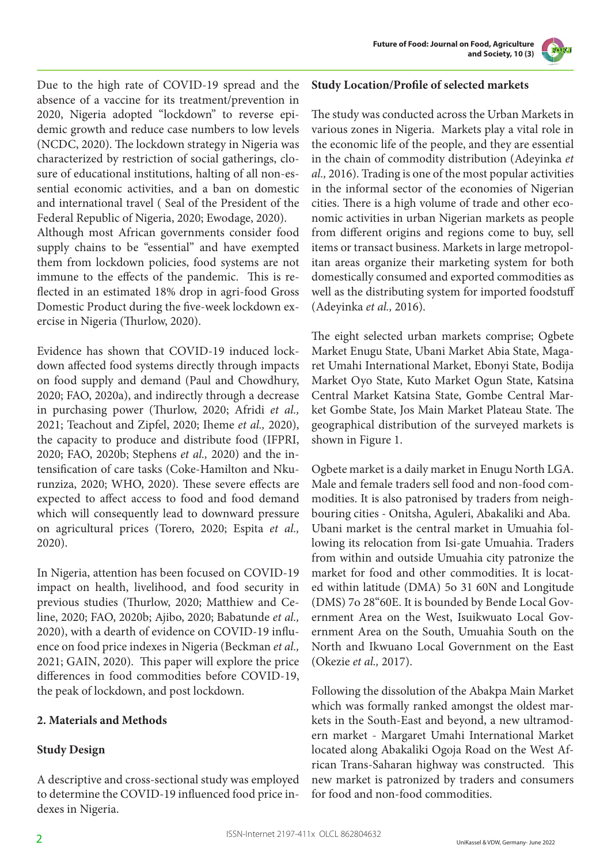**Future of Food: Journal on Food, Agriculture and Society, 10 (3)**



Due to the high rate of COVID-19 spread and the absence of a vaccine for its treatment/prevention in 2020, Nigeria adopted "lockdown" to reverse epidemic growth and reduce case numbers to low levels (NCDC, 2020). The lockdown strategy in Nigeria was characterized by restriction of social gatherings, closure of educational institutions, halting of all non-essential economic activities, and a ban on domestic and international travel ( Seal of the President of the Federal Republic of Nigeria, 2020; Ewodage, 2020). Although most African governments consider food supply chains to be "essential" and have exempted them from lockdown policies, food systems are not immune to the effects of the pandemic. This is reflected in an estimated 18% drop in agri-food Gross Domestic Product during the five-week lockdown ex-

Evidence has shown that COVID-19 induced lockdown affected food systems directly through impacts on food supply and demand (Paul and Chowdhury, 2020; FAO, 2020a), and indirectly through a decrease in purchasing power (Thurlow, 2020; Afridi *et al.,* 2021; Teachout and Zipfel, 2020; Iheme *et al.,* 2020), the capacity to produce and distribute food (IFPRI, 2020; FAO, 2020b; Stephens *et al.,* 2020) and the intensification of care tasks (Coke-Hamilton and Nkurunziza, 2020; WHO, 2020). These severe effects are expected to affect access to food and food demand which will consequently lead to downward pressure on agricultural prices (Torero, 2020; Espita *et al.,* 2020).

ercise in Nigeria (Thurlow, 2020).

In Nigeria, attention has been focused on COVID-19 impact on health, livelihood, and food security in previous studies (Thurlow, 2020; Matthiew and Celine, 2020; FAO, 2020b; Ajibo, 2020; Babatunde *et al.,* 2020), with a dearth of evidence on COVID-19 influence on food price indexes in Nigeria (Beckman *et al.,* 2021; GAIN, 2020). This paper will explore the price differences in food commodities before COVID-19, the peak of lockdown, and post lockdown.

# **2. Materials and Methods**

# **Study Design**

A descriptive and cross-sectional study was employed to determine the COVID-19 influenced food price indexes in Nigeria.

## **Study Location/Profile of selected markets**

The study was conducted across the Urban Markets in various zones in Nigeria. Markets play a vital role in the economic life of the people, and they are essential in the chain of commodity distribution (Adeyinka *et al.,* 2016). Trading is one of the most popular activities in the informal sector of the economies of Nigerian cities. There is a high volume of trade and other economic activities in urban Nigerian markets as people from different origins and regions come to buy, sell items or transact business. Markets in large metropolitan areas organize their marketing system for both domestically consumed and exported commodities as well as the distributing system for imported foodstuff (Adeyinka *et al.,* 2016).

The eight selected urban markets comprise; Ogbete Market Enugu State, Ubani Market Abia State, Magaret Umahi International Market, Ebonyi State, Bodija Market Oyo State, Kuto Market Ogun State, Katsina Central Market Katsina State, Gombe Central Market Gombe State, Jos Main Market Plateau State. The geographical distribution of the surveyed markets is shown in Figure 1.

Ogbete market is a daily market in Enugu North LGA. Male and female traders sell food and non-food commodities. It is also patronised by traders from neighbouring cities - Onitsha, Aguleri, Abakaliki and Aba. Ubani market is the central market in Umuahia following its relocation from Isi-gate Umuahia. Traders from within and outside Umuahia city patronize the market for food and other commodities. It is located within latitude (DMA) 5o 31 60N and Longitude (DMS) 7o 28"60E. It is bounded by Bende Local Government Area on the West, Isuikwuato Local Government Area on the South, Umuahia South on the North and Ikwuano Local Government on the East (Okezie *et al.,* 2017).

Following the dissolution of the Abakpa Main Market which was formally ranked amongst the oldest markets in the South-East and beyond, a new ultramodern market - Margaret Umahi International Market located along Abakaliki Ogoja Road on the West African Trans-Saharan highway was constructed. This new market is patronized by traders and consumers for food and non-food commodities.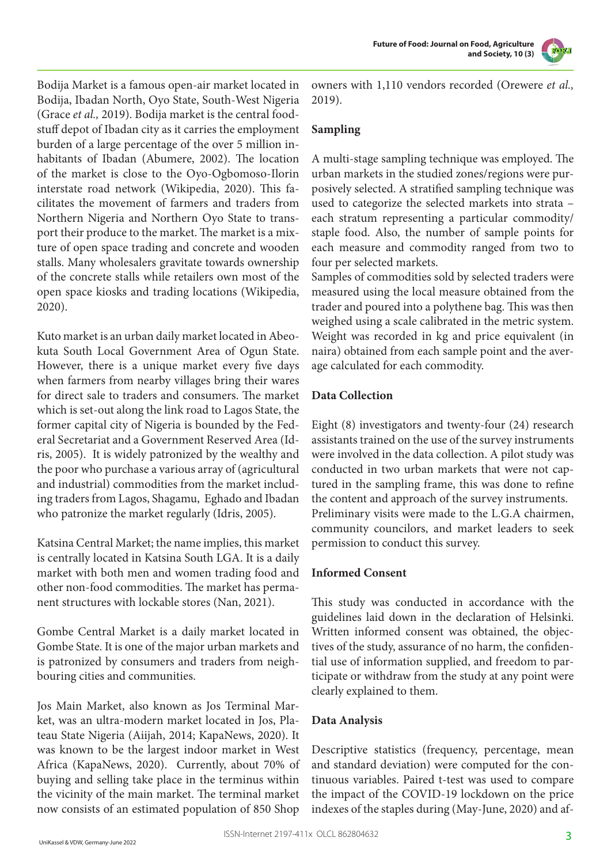



Bodija Market is a famous open-air market located in Bodija, Ibadan North, Oyo State, South-West Nigeria (Grace *et al.,* 2019). Bodija market is the central foodstuff depot of Ibadan city as it carries the employment burden of a large percentage of the over 5 million inhabitants of Ibadan (Abumere, 2002). The location of the market is close to the Oyo-Ogbomoso-Ilorin interstate road network (Wikipedia, 2020). This facilitates the movement of farmers and traders from Northern Nigeria and Northern Oyo State to transport their produce to the market. The market is a mixture of open space trading and concrete and wooden stalls. Many wholesalers gravitate towards ownership of the concrete stalls while retailers own most of the open space kiosks and trading locations (Wikipedia, 2020).

Kuto market is an urban daily market located in Abeokuta South Local Government Area of Ogun State. However, there is a unique market every five days when farmers from nearby villages bring their wares for direct sale to traders and consumers. The market which is set-out along the link road to Lagos State, the former capital city of Nigeria is bounded by the Federal Secretariat and a Government Reserved Area (Idris, 2005). It is widely patronized by the wealthy and the poor who purchase a various array of (agricultural and industrial) commodities from the market including traders from Lagos, Shagamu, Eghado and Ibadan who patronize the market regularly (Idris, 2005).

Katsina Central Market; the name implies, this market is centrally located in Katsina South LGA. It is a daily market with both men and women trading food and other non-food commodities. The market has permanent structures with lockable stores (Nan, 2021).

Gombe Central Market is a daily market located in Gombe State. It is one of the major urban markets and is patronized by consumers and traders from neighbouring cities and communities.

Jos Main Market, also known as Jos Terminal Market, was an ultra-modern market located in Jos, Plateau State Nigeria (Aiijah, 2014; KapaNews, 2020). It was known to be the largest indoor market in West Africa (KapaNews, 2020). Currently, about 70% of buying and selling take place in the terminus within the vicinity of the main market. The terminal market now consists of an estimated population of 850 Shop

owners with 1,110 vendors recorded (Orewere *et al.,* 2019).

# **Sampling**

A multi-stage sampling technique was employed. The urban markets in the studied zones/regions were purposively selected. A stratified sampling technique was used to categorize the selected markets into strata – each stratum representing a particular commodity/ staple food. Also, the number of sample points for each measure and commodity ranged from two to four per selected markets.

Samples of commodities sold by selected traders were measured using the local measure obtained from the trader and poured into a polythene bag. This was then weighed using a scale calibrated in the metric system. Weight was recorded in kg and price equivalent (in naira) obtained from each sample point and the average calculated for each commodity.

# **Data Collection**

Eight (8) investigators and twenty-four (24) research assistants trained on the use of the survey instruments were involved in the data collection. A pilot study was conducted in two urban markets that were not captured in the sampling frame, this was done to refine the content and approach of the survey instruments. Preliminary visits were made to the L.G.A chairmen, community councilors, and market leaders to seek permission to conduct this survey.

#### **Informed Consent**

This study was conducted in accordance with the guidelines laid down in the declaration of Helsinki. Written informed consent was obtained, the objectives of the study, assurance of no harm, the confidential use of information supplied, and freedom to participate or withdraw from the study at any point were clearly explained to them.

# **Data Analysis**

Descriptive statistics (frequency, percentage, mean and standard deviation) were computed for the continuous variables. Paired t-test was used to compare the impact of the COVID-19 lockdown on the price indexes of the staples during (May-June, 2020) and af-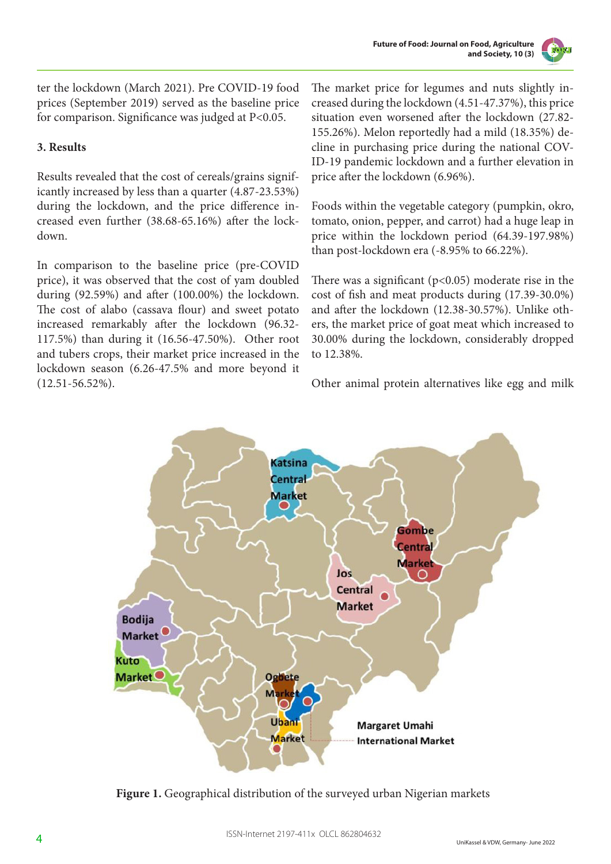

ter the lockdown (March 2021). Pre COVID-19 food prices (September 2019) served as the baseline price for comparison. Significance was judged at P<0.05.

# **3. Results**

Results revealed that the cost of cereals/grains significantly increased by less than a quarter (4.87-23.53%) during the lockdown, and the price difference increased even further (38.68-65.16%) after the lockdown.

In comparison to the baseline price (pre-COVID price), it was observed that the cost of yam doubled during (92.59%) and after (100.00%) the lockdown. The cost of alabo (cassava flour) and sweet potato increased remarkably after the lockdown (96.32- 117.5%) than during it (16.56-47.50%). Other root and tubers crops, their market price increased in the lockdown season (6.26-47.5% and more beyond it (12.51-56.52%).

The market price for legumes and nuts slightly increased during the lockdown (4.51-47.37%), this price situation even worsened after the lockdown (27.82- 155.26%). Melon reportedly had a mild (18.35%) decline in purchasing price during the national COV-ID-19 pandemic lockdown and a further elevation in price after the lockdown (6.96%).

Foods within the vegetable category (pumpkin, okro, tomato, onion, pepper, and carrot) had a huge leap in price within the lockdown period (64.39-197.98%) than post-lockdown era (-8.95% to 66.22%).

There was a significant ( $p$ <0.05) moderate rise in the cost of fish and meat products during (17.39-30.0%) and after the lockdown (12.38-30.57%). Unlike others, the market price of goat meat which increased to 30.00% during the lockdown, considerably dropped to 12.38%.

Other animal protein alternatives like egg and milk



Figure 1. Geographical distribution of the surveyed urban Nigerian markets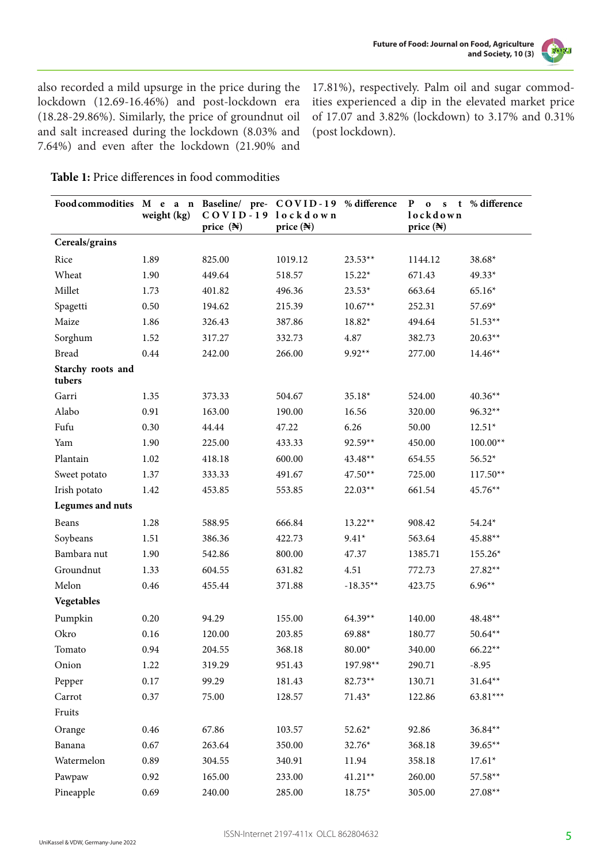

also recorded a mild upsurge in the price during the lockdown (12.69-16.46%) and post-lockdown era (18.28-29.86%). Similarly, the price of groundnut oil and salt increased during the lockdown (8.03% and 7.64%) and even after the lockdown (21.90% and

17.81%), respectively. Palm oil and sugar commodities experienced a dip in the elevated market price of 17.07 and 3.82% (lockdown) to 3.17% and 0.31% (post lockdown).

# **Table 1:** Price differences in food commodities

| Food commodities M e a n Baseline/ pre- COVID-19 % difference | weight (kg) | COVID-19 lockdown<br>price $(\mathbb{N})$ | price $(\mathbb{N})$ |            | ${\bf P}$<br>$\mathbf{o}$<br>$\mathbf{s}$<br>lockdown<br>price (N) | t % difference |
|---------------------------------------------------------------|-------------|-------------------------------------------|----------------------|------------|--------------------------------------------------------------------|----------------|
| Cereals/grains                                                |             |                                           |                      |            |                                                                    |                |
| Rice                                                          | 1.89        | 825.00                                    | 1019.12              | $23.53**$  | 1144.12                                                            | $38.68*$       |
| Wheat                                                         | 1.90        | 449.64                                    | 518.57               | $15.22*$   | 671.43                                                             | $49.33*$       |
| Millet                                                        | 1.73        | 401.82                                    | 496.36               | $23.53*$   | 663.64                                                             | $65.16*$       |
| Spagetti                                                      | 0.50        | 194.62                                    | 215.39               | $10.67**$  | 252.31                                                             | 57.69*         |
| Maize                                                         | 1.86        | 326.43                                    | 387.86               | 18.82*     | 494.64                                                             | $51.53**$      |
| Sorghum                                                       | 1.52        | 317.27                                    | 332.73               | 4.87       | 382.73                                                             | $20.63**$      |
| <b>Bread</b>                                                  | 0.44        | 242.00                                    | 266.00               | $9.92**$   | 277.00                                                             | $14.46**$      |
| Starchy roots and<br>tubers                                   |             |                                           |                      |            |                                                                    |                |
| Garri                                                         | 1.35        | 373.33                                    | 504.67               | 35.18*     | 524.00                                                             | $40.36**$      |
| Alabo                                                         | 0.91        | 163.00                                    | 190.00               | 16.56      | 320.00                                                             | $96.32**$      |
| Fufu                                                          | 0.30        | 44.44                                     | 47.22                | 6.26       | 50.00                                                              | $12.51*$       |
| Yam                                                           | 1.90        | 225.00                                    | 433.33               | 92.59**    | 450.00                                                             | $100.00**$     |
| Plantain                                                      | 1.02        | 418.18                                    | 600.00               | $43.48**$  | 654.55                                                             | $56.52*$       |
| Sweet potato                                                  | 1.37        | 333.33                                    | 491.67               | $47.50**$  | 725.00                                                             | $117.50**$     |
| Irish potato                                                  | 1.42        | 453.85                                    | 553.85               | $22.03**$  | 661.54                                                             | 45.76**        |
| Legumes and nuts                                              |             |                                           |                      |            |                                                                    |                |
| Beans                                                         | 1.28        | 588.95                                    | 666.84               | $13.22**$  | 908.42                                                             | $54.24*$       |
| Soybeans                                                      | 1.51        | 386.36                                    | 422.73               | $9.41*$    | 563.64                                                             | 45.88**        |
| Bambara nut                                                   | 1.90        | 542.86                                    | 800.00               | 47.37      | 1385.71                                                            | 155.26*        |
| Groundnut                                                     | 1.33        | 604.55                                    | 631.82               | 4.51       | 772.73                                                             | 27.82**        |
| Melon                                                         | 0.46        | 455.44                                    | 371.88               | $-18.35**$ | 423.75                                                             | $6.96**$       |
| Vegetables                                                    |             |                                           |                      |            |                                                                    |                |
| Pumpkin                                                       | 0.20        | 94.29                                     | 155.00               | $64.39**$  | 140.00                                                             | 48.48**        |
| Okro                                                          | 0.16        | 120.00                                    | 203.85               | 69.88*     | 180.77                                                             | $50.64**$      |
| Tomato                                                        | 0.94        | 204.55                                    | 368.18               | $80.00*$   | 340.00                                                             | $66.22**$      |
| Onion                                                         | 1.22        | 319.29                                    | 951.43               | 197.98**   | 290.71                                                             | $-8.95$        |
| Pepper                                                        | 0.17        | 99.29                                     | 181.43               | $82.73**$  | 130.71                                                             | $31.64**$      |
| Carrot                                                        | 0.37        | 75.00                                     | 128.57               | $71.43*$   | 122.86                                                             | $63.81***$     |
| Fruits                                                        |             |                                           |                      |            |                                                                    |                |
| Orange                                                        | 0.46        | 67.86                                     | 103.57               | $52.62*$   | 92.86                                                              | $36.84**$      |
| Banana                                                        | 0.67        | 263.64                                    | 350.00               | 32.76*     | 368.18                                                             | 39.65**        |
| Watermelon                                                    | 0.89        | 304.55                                    | 340.91               | 11.94      | 358.18                                                             | $17.61*$       |
| Pawpaw                                                        | 0.92        | 165.00                                    | 233.00               | $41.21**$  | 260.00                                                             | 57.58**        |
| Pineapple                                                     | 0.69        | 240.00                                    | 285.00               | $18.75*$   | 305.00                                                             | 27.08**        |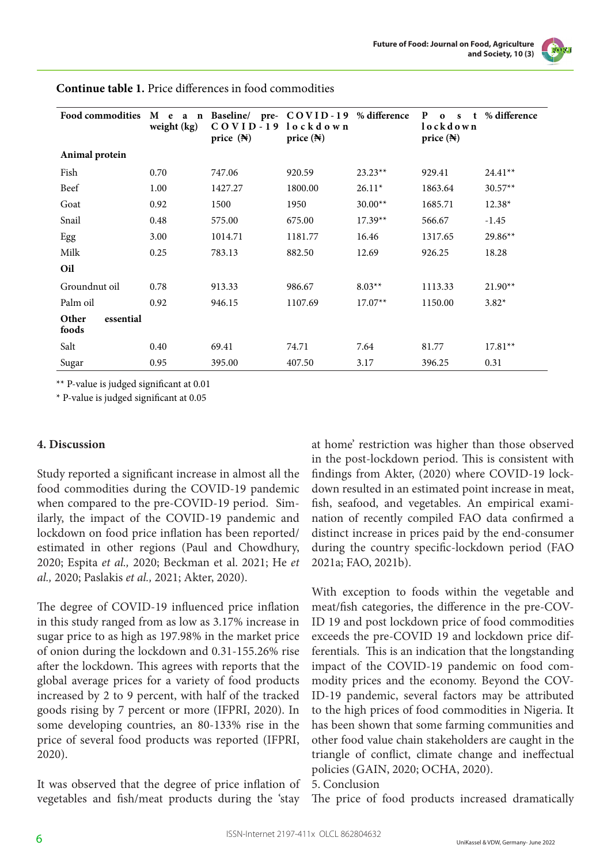

| <b>Food commodities</b>     | M e a n<br>weight (kg) | Baseline/ pre- COVID-19 % difference<br>$COVID-19$<br>price $(\mathbb{N})$ | lockdown<br>price $(\mathbb{N})$ |           | P<br>$\Omega$<br>$\mathbf{s}$<br>lockdown<br>price $(\mathbb{N})$ | % difference |
|-----------------------------|------------------------|----------------------------------------------------------------------------|----------------------------------|-----------|-------------------------------------------------------------------|--------------|
| Animal protein              |                        |                                                                            |                                  |           |                                                                   |              |
| Fish                        | 0.70                   | 747.06                                                                     | 920.59                           | $23.23**$ | 929.41                                                            | $24.41**$    |
| Beef                        | 1.00                   | 1427.27                                                                    | 1800.00                          | $26.11*$  | 1863.64                                                           | $30.57**$    |
| Goat                        | 0.92                   | 1500                                                                       | 1950                             | $30.00**$ | 1685.71                                                           | 12.38*       |
| Snail                       | 0.48                   | 575.00                                                                     | 675.00                           | $17.39**$ | 566.67                                                            | $-1.45$      |
| Egg                         | 3.00                   | 1014.71                                                                    | 1181.77                          | 16.46     | 1317.65                                                           | 29.86**      |
| Milk                        | 0.25                   | 783.13                                                                     | 882.50                           | 12.69     | 926.25                                                            | 18.28        |
| Oil                         |                        |                                                                            |                                  |           |                                                                   |              |
| Groundnut oil               | 0.78                   | 913.33                                                                     | 986.67                           | $8.03**$  | 1113.33                                                           | $21.90**$    |
| Palm oil                    | 0.92                   | 946.15                                                                     | 1107.69                          | $17.07**$ | 1150.00                                                           | $3.82*$      |
| Other<br>essential<br>foods |                        |                                                                            |                                  |           |                                                                   |              |
| Salt                        | 0.40                   | 69.41                                                                      | 74.71                            | 7.64      | 81.77                                                             | $17.81**$    |
| Sugar                       | 0.95                   | 395.00                                                                     | 407.50                           | 3.17      | 396.25                                                            | 0.31         |

**Continue table 1.** Price differences in food commodities

\*\* P-value is judged significant at 0.01

\* P-value is judged significant at 0.05

#### **4. Discussion**

Study reported a significant increase in almost all the food commodities during the COVID-19 pandemic when compared to the pre-COVID-19 period. Similarly, the impact of the COVID-19 pandemic and lockdown on food price inflation has been reported/ estimated in other regions (Paul and Chowdhury, 2020; Espita *et al.,* 2020; Beckman et al. 2021; He *et al.,* 2020; Paslakis *et al.,* 2021; Akter, 2020).

The degree of COVID-19 influenced price inflation in this study ranged from as low as 3.17% increase in sugar price to as high as 197.98% in the market price of onion during the lockdown and 0.31-155.26% rise after the lockdown. This agrees with reports that the global average prices for a variety of food products increased by 2 to 9 percent, with half of the tracked goods rising by 7 percent or more (IFPRI, 2020). In some developing countries, an 80-133% rise in the price of several food products was reported (IFPRI, 2020).

It was observed that the degree of price inflation of vegetables and fish/meat products during the 'stay

at home' restriction was higher than those observed in the post-lockdown period. This is consistent with findings from Akter, (2020) where COVID-19 lockdown resulted in an estimated point increase in meat, fish, seafood, and vegetables. An empirical examination of recently compiled FAO data confirmed a distinct increase in prices paid by the end-consumer during the country specific-lockdown period (FAO 2021a; FAO, 2021b).

With exception to foods within the vegetable and meat/fish categories, the difference in the pre-COV-ID 19 and post lockdown price of food commodities exceeds the pre-COVID 19 and lockdown price differentials. This is an indication that the longstanding impact of the COVID-19 pandemic on food commodity prices and the economy. Beyond the COV-ID-19 pandemic, several factors may be attributed to the high prices of food commodities in Nigeria. It has been shown that some farming communities and other food value chain stakeholders are caught in the triangle of conflict, climate change and ineffectual policies (GAIN, 2020; OCHA, 2020).

#### 5. Conclusion

The price of food products increased dramatically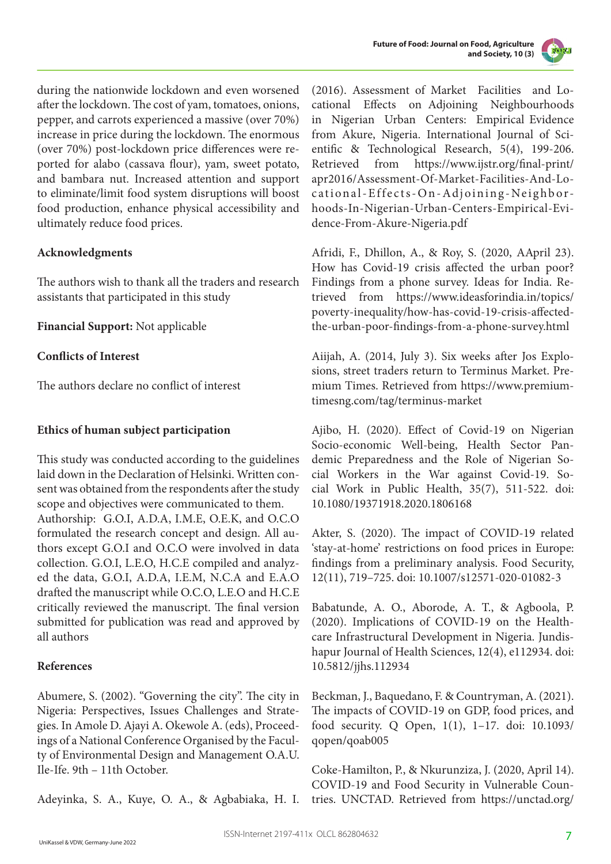



during the nationwide lockdown and even worsened after the lockdown. The cost of yam, tomatoes, onions, pepper, and carrots experienced a massive (over 70%) increase in price during the lockdown. The enormous (over 70%) post-lockdown price differences were reported for alabo (cassava flour), yam, sweet potato, and bambara nut. Increased attention and support to eliminate/limit food system disruptions will boost food production, enhance physical accessibility and ultimately reduce food prices.

## **Acknowledgments**

The authors wish to thank all the traders and research assistants that participated in this study

**Financial Support:** Not applicable

#### **Conflicts of Interest**

The authors declare no conflict of interest

#### **Ethics of human subject participation**

This study was conducted according to the guidelines laid down in the Declaration of Helsinki. Written consent was obtained from the respondents after the study scope and objectives were communicated to them. Authorship: G.O.I, A.D.A, I.M.E, O.E.K, and O.C.O formulated the research concept and design. All authors except G.O.I and O.C.O were involved in data collection. G.O.I, L.E.O, H.C.E compiled and analyzed the data, G.O.I, A.D.A, I.E.M, N.C.A and E.A.O drafted the manuscript while O.C.O, L.E.O and H.C.E critically reviewed the manuscript. The final version submitted for publication was read and approved by all authors

#### **References**

Abumere, S. (2002). "Governing the city". The city in Nigeria: Perspectives, Issues Challenges and Strategies. In Amole D. Ajayi A. Okewole A. (eds), Proceedings of a National Conference Organised by the Faculty of Environmental Design and Management O.A.U. Ile-Ife. 9th – 11th October.

Adeyinka, S. A., Kuye, O. A., & Agbabiaka, H. I.

(2016). Assessment of Market Facilities and Locational Effects on Adjoining Neighbourhoods in Nigerian Urban Centers: Empirical Evidence from Akure, Nigeria. International Journal of Scientific & Technological Research, 5(4), 199-206. Retrieved from https://www.ijstr.org/final-print/ apr2016/Assessment-Of-Market-Facilities-And-Locational-Effects-On-Adjoining-Neighborhoods-In-Nigerian-Urban-Centers-Empirical-Evidence-From-Akure-Nigeria.pdf

Afridi, F., Dhillon, A., & Roy, S. (2020, AApril 23). How has Covid-19 crisis affected the urban poor? Findings from a phone survey. Ideas for India. Retrieved from https://www.ideasforindia.in/topics/ poverty-inequality/how-has-covid-19-crisis-affectedthe-urban-poor-findings-from-a-phone-survey.html

Aiijah, A. (2014, July 3). Six weeks after Jos Explosions, street traders return to Terminus Market. Premium Times. Retrieved from https://www.premiumtimesng.com/tag/terminus-market

Ajibo, H. (2020). Effect of Covid-19 on Nigerian Socio-economic Well-being, Health Sector Pandemic Preparedness and the Role of Nigerian Social Workers in the War against Covid-19. Social Work in Public Health, 35(7), 511-522. doi: 10.1080/19371918.2020.1806168

Akter, S. (2020). The impact of COVID-19 related 'stay-at-home' restrictions on food prices in Europe: findings from a preliminary analysis. Food Security, 12(11), 719–725. doi: 10.1007/s12571-020-01082-3

Babatunde, A. O., Aborode, A. T., & Agboola, P. (2020). Implications of COVID-19 on the Healthcare Infrastructural Development in Nigeria. Jundishapur Journal of Health Sciences, 12(4), e112934. doi: 10.5812/jjhs.112934

Beckman, J., Baquedano, F. & Countryman, A. (2021). The impacts of COVID-19 on GDP, food prices, and food security. Q Open, 1(1), 1–17. doi: 10.1093/ qopen/qoab005

Coke-Hamilton, P., & Nkurunziza, J. (2020, April 14). COVID-19 and Food Security in Vulnerable Countries. UNCTAD. Retrieved from https://unctad.org/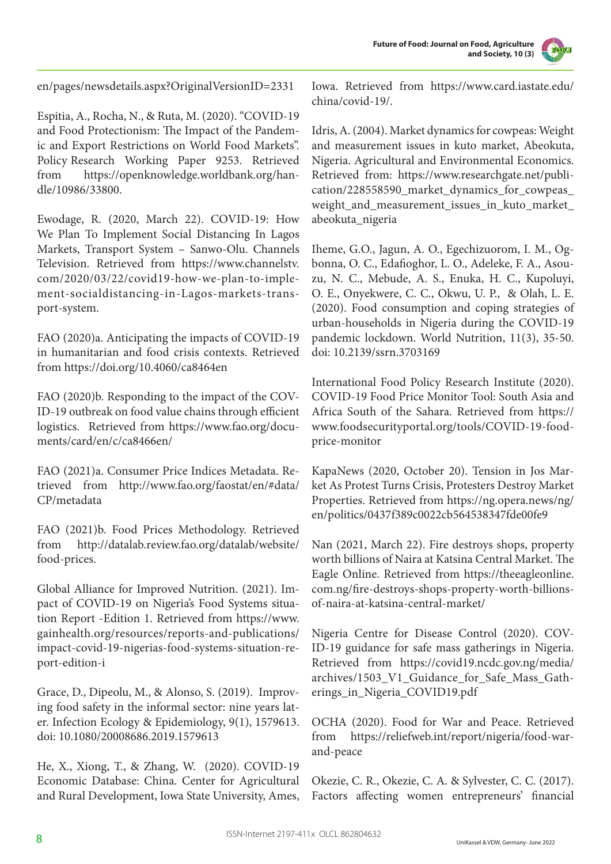



en/pages/newsdetails.aspx?OriginalVersionID=2331

Espitia, A., Rocha, N., & Ruta, M. (2020). "COVID-19 and Food Protectionism: The Impact of the Pandemic and Export Restrictions on World Food Markets". Policy Research Working Paper 9253. Retrieved from https://openknowledge.worldbank.org/handle/10986/33800.

Ewodage, R. (2020, March 22). COVID-19: How We Plan To Implement Social Distancing In Lagos Markets, Transport System – Sanwo-Olu. Channels Television. Retrieved from https://www.channelstv. com/2020/03/22/covid19-how-we-plan-to-implement-socialdistancing-in-Lagos-markets-transport-system.

FAO (2020)a. Anticipating the impacts of COVID-19 in humanitarian and food crisis contexts. Retrieved from https://doi.org/10.4060/ca8464en

FAO (2020)b. Responding to the impact of the COV-ID-19 outbreak on food value chains through efficient logistics. Retrieved from https://www.fao.org/documents/card/en/c/ca8466en/

FAO (2021)a. Consumer Price Indices Metadata. Retrieved from http://www.fao.org/faostat/en/#data/ CP/metadata

FAO (2021)b. Food Prices Methodology. Retrieved from http://datalab.review.fao.org/datalab/website/ food-prices.

Global Alliance for Improved Nutrition. (2021). Impact of COVID-19 on Nigeria's Food Systems situation Report -Edition 1. Retrieved from https://www. gainhealth.org/resources/reports-and-publications/ impact-covid-19-nigerias-food-systems-situation-report-edition-i

Grace, D., Dipeolu, M., & Alonso, S. (2019). Improving food safety in the informal sector: nine years later. Infection Ecology & Epidemiology, 9(1), 1579613. doi: 10.1080/20008686.2019.1579613

He, X., Xiong, T., & Zhang, W. (2020). COVID-19 Economic Database: China. Center for Agricultural and Rural Development, Iowa State University, Ames,

Iowa. Retrieved from https://www.card.iastate.edu/ china/covid-19/.

Idris, A. (2004). Market dynamics for cowpeas: Weight and measurement issues in kuto market, Abeokuta, Nigeria. Agricultural and Environmental Economics. Retrieved from: https://www.researchgate.net/publication/228558590\_market\_dynamics\_for\_cowpeas\_ weight\_and\_measurement\_issues\_in\_kuto\_market\_ abeokuta\_nigeria

Iheme, G.O., Jagun, A. O., Egechizuorom, I. M., Ogbonna, O. C., Edafioghor, L. O., Adeleke, F. A., Asouzu, N. C., Mebude, A. S., Enuka, H. C., Kupoluyi, O. E., Onyekwere, C. C., Okwu, U. P., & Olah, L. E. (2020). Food consumption and coping strategies of urban-households in Nigeria during the COVID-19 pandemic lockdown. World Nutrition, 11(3), 35-50. doi: 10.2139/ssrn.3703169

International Food Policy Research Institute (2020). COVID-19 Food Price Monitor Tool: South Asia and Africa South of the Sahara. Retrieved from https:// www.foodsecurityportal.org/tools/COVID-19-foodprice-monitor

KapaNews (2020, October 20). Tension in Jos Market As Protest Turns Crisis, Protesters Destroy Market Properties. Retrieved from https://ng.opera.news/ng/ en/politics/0437f389c0022cb564538347fde00fe9

Nan (2021, March 22). Fire destroys shops, property worth billions of Naira at Katsina Central Market. The Eagle Online. Retrieved from https://theeagleonline. com.ng/fire-destroys-shops-property-worth-billionsof-naira-at-katsina-central-market/

Nigeria Centre for Disease Control (2020). COV-ID-19 guidance for safe mass gatherings in Nigeria. Retrieved from https://covid19.ncdc.gov.ng/media/ archives/1503\_V1\_Guidance\_for\_Safe\_Mass\_Gatherings\_in\_Nigeria\_COVID19.pdf

OCHA (2020). Food for War and Peace. Retrieved from https://reliefweb.int/report/nigeria/food-warand-peace

Okezie, C. R., Okezie, C. A. & Sylvester, C. C. (2017). Factors affecting women entrepreneurs' financial